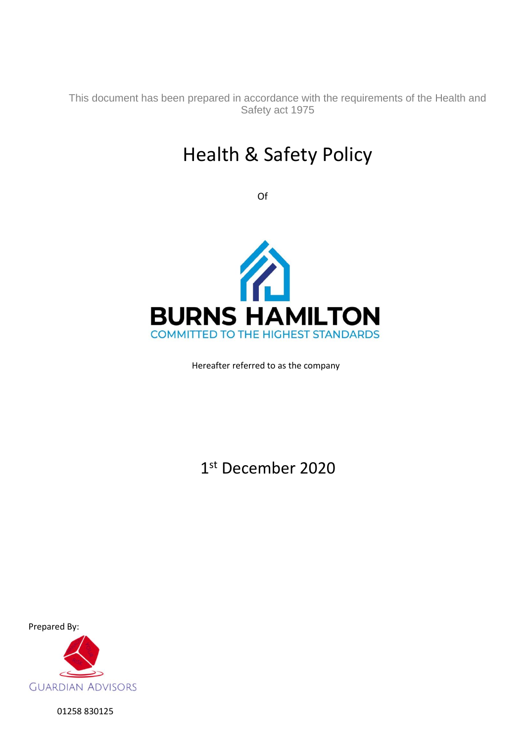This document has been prepared in accordance with the requirements of the Health and Safety act 1975

# Health & Safety Policy

Of



Hereafter referred to as the company

1 st December 2020

Prepared By:



01258 830125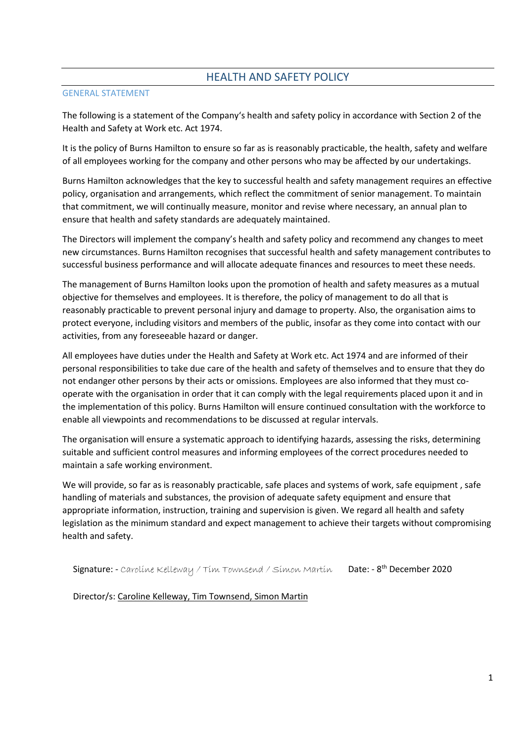# HEALTH AND SAFETY POLICY

## GENERAL STATEMENT

The following is a statement of the Company's health and safety policy in accordance with Section 2 of the Health and Safety at Work etc. Act 1974.

It is the policy of Burns Hamilton to ensure so far as is reasonably practicable, the health, safety and welfare of all employees working for the company and other persons who may be affected by our undertakings.

Burns Hamilton acknowledges that the key to successful health and safety management requires an effective policy, organisation and arrangements, which reflect the commitment of senior management. To maintain that commitment, we will continually measure, monitor and revise where necessary, an annual plan to ensure that health and safety standards are adequately maintained.

The Directors will implement the company's health and safety policy and recommend any changes to meet new circumstances. Burns Hamilton recognises that successful health and safety management contributes to successful business performance and will allocate adequate finances and resources to meet these needs.

The management of Burns Hamilton looks upon the promotion of health and safety measures as a mutual objective for themselves and employees. It is therefore, the policy of management to do all that is reasonably practicable to prevent personal injury and damage to property. Also, the organisation aims to protect everyone, including visitors and members of the public, insofar as they come into contact with our activities, from any foreseeable hazard or danger.

All employees have duties under the Health and Safety at Work etc. Act 1974 and are informed of their personal responsibilities to take due care of the health and safety of themselves and to ensure that they do not endanger other persons by their acts or omissions. Employees are also informed that they must cooperate with the organisation in order that it can comply with the legal requirements placed upon it and in the implementation of this policy. Burns Hamilton will ensure continued consultation with the workforce to enable all viewpoints and recommendations to be discussed at regular intervals.

The organisation will ensure a systematic approach to identifying hazards, assessing the risks, determining suitable and sufficient control measures and informing employees of the correct procedures needed to maintain a safe working environment.

We will provide, so far as is reasonably practicable, safe places and systems of work, safe equipment , safe handling of materials and substances, the provision of adequate safety equipment and ensure that appropriate information, instruction, training and supervision is given. We regard all health and safety legislation as the minimum standard and expect management to achieve their targets without compromising health and safety.

Signature: - Carolíne Kelleway / Tim Townsend / Simon Martin Date: - 8<sup>th</sup> December 2020

Director/s: Caroline Kelleway, Tim Townsend, Simon Martin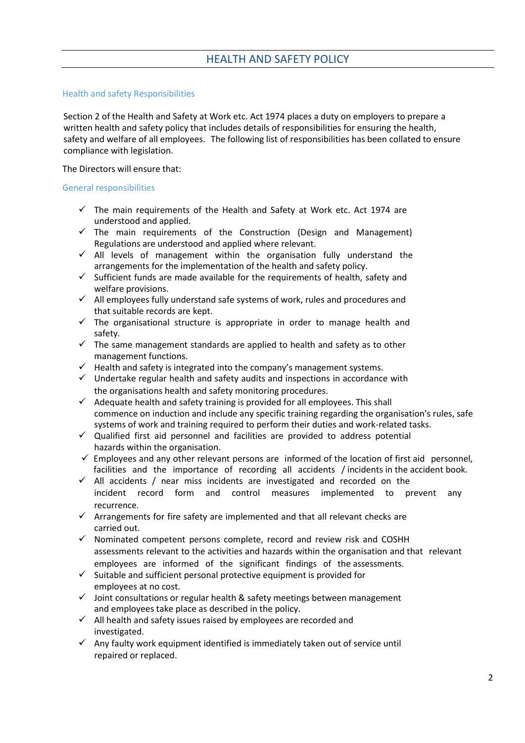#### Health and safety Responsibilities

Section 2 of the Health and Safety at Work etc. Act 1974 places a duty on employers to prepare a written health and safety policy that includes details of responsibilities for ensuring the health, safety and welfare of all employees. The following list of responsibilities has been collated to ensure compliance with legislation.

The Directors will ensure that:

#### General responsibilities

- $\checkmark$  The main requirements of the Health and Safety at Work etc. Act 1974 are understood and applied.
- $\checkmark$  The main requirements of the Construction (Design and Management) Regulations are understood and applied where relevant.
- $\checkmark$  All levels of management within the organisation fully understand the arrangements for the implementation of the health and safety policy.
- ✓ Sufficient funds are made available for the requirements of health, safety and welfare provisions.
- ✓ All employees fully understand safe systems of work, rules and procedures and that suitable records are kept.
- $\checkmark$  The organisational structure is appropriate in order to manage health and safety.
- $\checkmark$  The same management standards are applied to health and safety as to other management functions.
- $\checkmark$  Health and safety is integrated into the company's management systems.
- ✓ Undertake regular health and safety audits and inspections in accordance with the organisations health and safety monitoring procedures.
- ✓ Adequate health and safety training is provided for all employees. This shall commence on induction and include any specific training regarding the organisation's rules, safe systems of work and training required to perform their duties and work-related tasks.
- ✓ Qualified first aid personnel and facilities are provided to address potential hazards within the organisation.
- $\checkmark$  Employees and any other relevant persons are informed of the location of first aid personnel, facilities and the importance of recording all accidents / incidents in the accident book.
- ✓ All accidents / near miss incidents are investigated and recorded on the incident record form and control measures implemented to prevent any recurrence.
- $\checkmark$  Arrangements for fire safety are implemented and that all relevant checks are carried out.
- ✓ Nominated competent persons complete, record and review risk and COSHH assessments relevant to the activities and hazards within the organisation and that relevant employees are informed of the significant findings of the assessments.
- $\checkmark$  Suitable and sufficient personal protective equipment is provided for employees at no cost.
- $\checkmark$  Joint consultations or regular health & safety meetings between management and employees take place as described in the policy.
- ✓ All health and safety issues raised by employees are recorded and investigated.
- $\checkmark$  Any faulty work equipment identified is immediately taken out of service until repaired or replaced.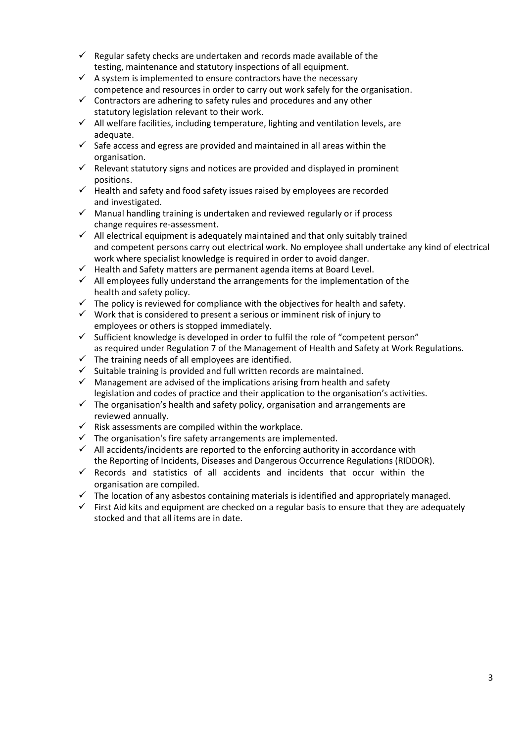- $\checkmark$  Regular safety checks are undertaken and records made available of the testing, maintenance and statutory inspections of all equipment.
- $\checkmark$  A system is implemented to ensure contractors have the necessary competence and resources in order to carry out work safely for the organisation.
- $\checkmark$  Contractors are adhering to safety rules and procedures and any other statutory legislation relevant to their work.
- ✓ All welfare facilities, including temperature, lighting and ventilation levels, are adequate.
- $\checkmark$  Safe access and egress are provided and maintained in all areas within the organisation.
- $\checkmark$  Relevant statutory signs and notices are provided and displayed in prominent positions.
- ✓ Health and safety and food safety issues raised by employees are recorded and investigated.
- ✓ Manual handling training is undertaken and reviewed regularly or if process change requires re-assessment.
- ✓ All electrical equipment is adequately maintained and that only suitably trained and competent persons carry out electrical work. No employee shall undertake any kind of electrical work where specialist knowledge is required in order to avoid danger.
- ✓ Health and Safety matters are permanent agenda items at Board Level.
- $\checkmark$  All employees fully understand the arrangements for the implementation of the health and safety policy.
- $\checkmark$  The policy is reviewed for compliance with the objectives for health and safety.
- ✓ Work that is considered to present a serious or imminent risk of injury to employees or others is stopped immediately.
- ✓ Sufficient knowledge is developed in order to fulfil the role of "competent person" as required under Regulation 7 of the Management of Health and Safety at Work Regulations.
- $\checkmark$  The training needs of all employees are identified.
- $\checkmark$  Suitable training is provided and full written records are maintained.
- $\checkmark$  Management are advised of the implications arising from health and safety legislation and codes of practice and their application to the organisation's activities.
- $\checkmark$  The organisation's health and safety policy, organisation and arrangements are reviewed annually.
- $\checkmark$  Risk assessments are compiled within the workplace.
- $\checkmark$  The organisation's fire safety arrangements are implemented.
- $\checkmark$  All accidents/incidents are reported to the enforcing authority in accordance with the Reporting of Incidents, Diseases and Dangerous Occurrence Regulations (RIDDOR).
- $\checkmark$  Records and statistics of all accidents and incidents that occur within the organisation are compiled.
- $\checkmark$  The location of any asbestos containing materials is identified and appropriately managed.
- $\checkmark$  First Aid kits and equipment are checked on a regular basis to ensure that they are adequately stocked and that all items are in date.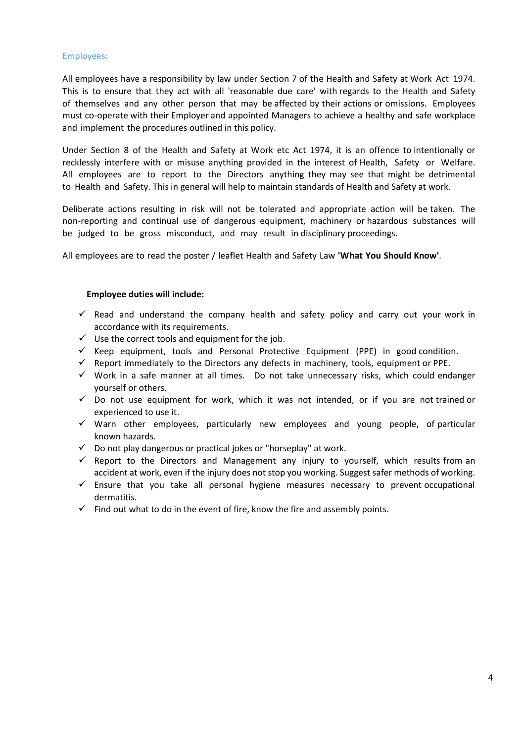#### Employees:

All employees have a responsibility by law under Section 7 of the Health and Safety at Work Act 1974. This is to ensure that they act with all 'reasonable due care' with regards to the Health and Safety of themselves and any other person that may be affected by their actions or omissions. Employees must co-operate with their Employer and appointed Managers to achieve a healthy and safe workplace and implement the procedures outlined in this policy.

Under Section 8 of the Health and Safety at Work etc Act 1974, it is an offence to intentionally or recklessly interfere with or misuse anything provided in the interest of Health, Safety or Welfare. All employees are to report to the Directors anything they may see that might be detrimental to Health and Safety. This in general will help to maintain standards of Health and Safety at work.

Deliberate actions resulting in risk will not be tolerated and appropriate action will be taken. The non-reporting and continual use of dangerous equipment, machinery or hazardous substances will be judged to be gross misconduct, and may result in disciplinary proceedings.

All employees are to read the poster / leaflet Health and Safety Law **'What You Should Know'**.

## **Employee duties will include:**

- $\checkmark$  Read and understand the company health and safety policy and carry out your work in accordance with its requirements.
- $\checkmark$  Use the correct tools and equipment for the job.
- ✓ Keep equipment, tools and Personal Protective Equipment (PPE) in good condition.
- $\checkmark$  Report immediately to the Directors any defects in machinery, tools, equipment or PPE.
- ✓ Work in a safe manner at all times. Do not take unnecessary risks, which could endanger yourself or others.
- ✓ Do not use equipment for work, which it was not intended, or if you are not trained or experienced to use it.
- ✓ Warn other employees, particularly new employees and young people, of particular known hazards.
- $\checkmark$  Do not play dangerous or practical jokes or "horseplay" at work.
- $\checkmark$  Report to the Directors and Management any injury to yourself, which results from an accident at work, even if the injury does not stop you working. Suggest safer methods of working.
- $\checkmark$  Ensure that you take all personal hygiene measures necessary to prevent occupational dermatitis.
- $\checkmark$  Find out what to do in the event of fire, know the fire and assembly points.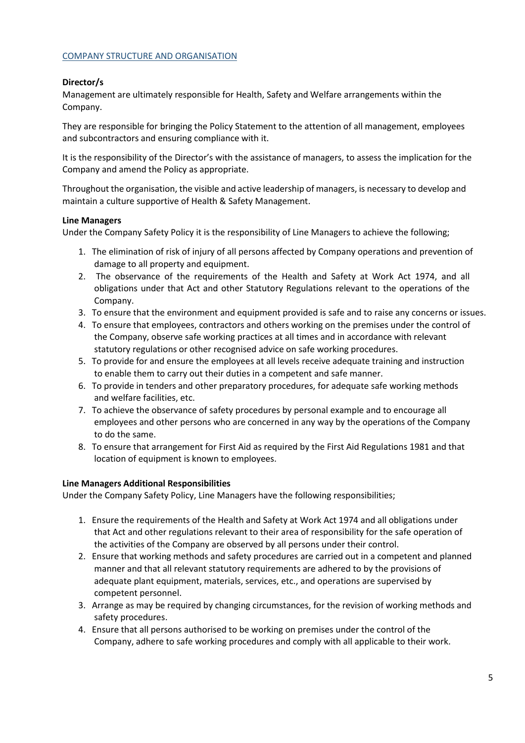#### COMPANY STRUCTURE AND ORGANISATION

# **Director/s**

Management are ultimately responsible for Health, Safety and Welfare arrangements within the Company.

They are responsible for bringing the Policy Statement to the attention of all management, employees and subcontractors and ensuring compliance with it.

It is the responsibility of the Director's with the assistance of managers, to assess the implication for the Company and amend the Policy as appropriate.

Throughout the organisation, the visible and active leadership of managers, is necessary to develop and maintain a culture supportive of Health & Safety Management.

#### **Line Managers**

Under the Company Safety Policy it is the responsibility of Line Managers to achieve the following;

- 1. The elimination of risk of injury of all persons affected by Company operations and prevention of damage to all property and equipment.
- 2. The observance of the requirements of the Health and Safety at Work Act 1974, and all obligations under that Act and other Statutory Regulations relevant to the operations of the Company.
- 3. To ensure that the environment and equipment provided is safe and to raise any concerns or issues.
- 4. To ensure that employees, contractors and others working on the premises under the control of the Company, observe safe working practices at all times and in accordance with relevant statutory regulations or other recognised advice on safe working procedures.
- 5. To provide for and ensure the employees at all levels receive adequate training and instruction to enable them to carry out their duties in a competent and safe manner.
- 6. To provide in tenders and other preparatory procedures, for adequate safe working methods and welfare facilities, etc.
- 7. To achieve the observance of safety procedures by personal example and to encourage all employees and other persons who are concerned in any way by the operations of the Company to do the same.
- 8. To ensure that arrangement for First Aid as required by the First Aid Regulations 1981 and that location of equipment is known to employees.

#### **Line Managers Additional Responsibilities**

Under the Company Safety Policy, Line Managers have the following responsibilities;

- 1. Ensure the requirements of the Health and Safety at Work Act 1974 and all obligations under that Act and other regulations relevant to their area of responsibility for the safe operation of the activities of the Company are observed by all persons under their control.
- 2. Ensure that working methods and safety procedures are carried out in a competent and planned manner and that all relevant statutory requirements are adhered to by the provisions of adequate plant equipment, materials, services, etc., and operations are supervised by competent personnel.
- 3. Arrange as may be required by changing circumstances, for the revision of working methods and safety procedures.
- 4. Ensure that all persons authorised to be working on premises under the control of the Company, adhere to safe working procedures and comply with all applicable to their work.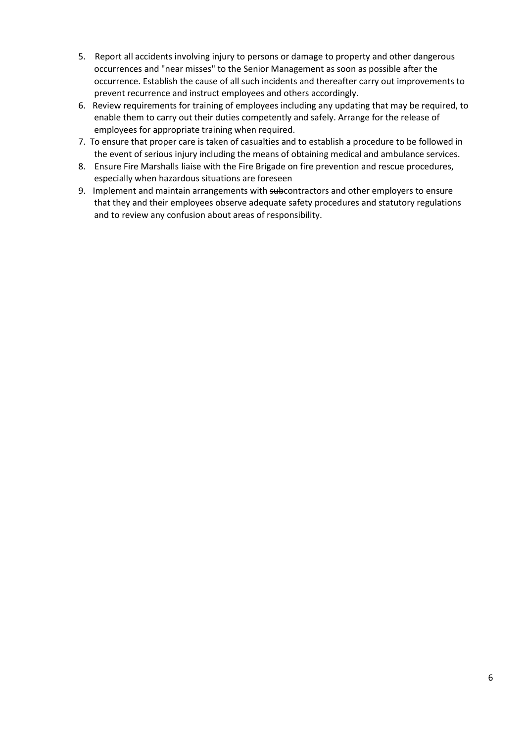- 5. Report all accidents involving injury to persons or damage to property and other dangerous occurrences and "near misses" to the Senior Management as soon as possible after the occurrence. Establish the cause of all such incidents and thereafter carry out improvements to prevent recurrence and instruct employees and others accordingly.
- 6. Review requirements for training of employees including any updating that may be required, to enable them to carry out their duties competently and safely. Arrange for the release of employees for appropriate training when required.
- 7. To ensure that proper care is taken of casualties and to establish a procedure to be followed in the event of serious injury including the means of obtaining medical and ambulance services.
- 8. Ensure Fire Marshalls liaise with the Fire Brigade on fire prevention and rescue procedures, especially when hazardous situations are foreseen
- 9. Implement and maintain arrangements with subcontractors and other employers to ensure that they and their employees observe adequate safety procedures and statutory regulations and to review any confusion about areas of responsibility.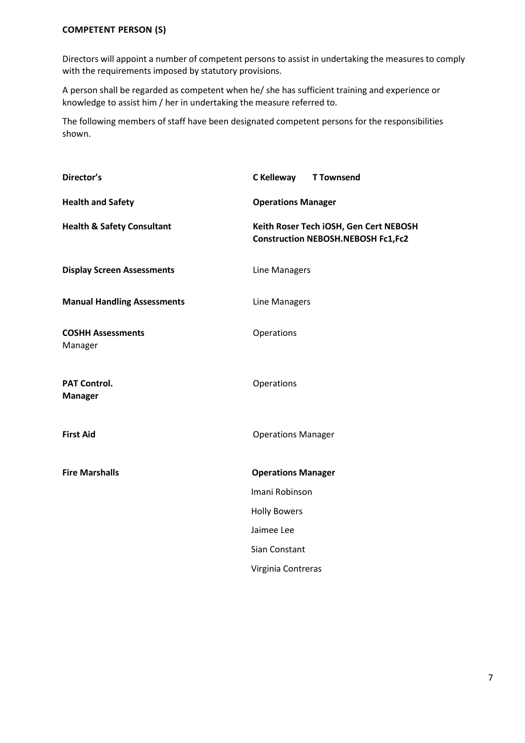Directors will appoint a number of competent persons to assist in undertaking the measures to comply with the requirements imposed by statutory provisions.

A person shall be regarded as competent when he/ she has sufficient training and experience or knowledge to assist him / her in undertaking the measure referred to.

The following members of staff have been designated competent persons for the responsibilities shown.

| Director's                            | C Kelleway<br><b>T Townsend</b>                                                     |
|---------------------------------------|-------------------------------------------------------------------------------------|
| <b>Health and Safety</b>              | <b>Operations Manager</b>                                                           |
| <b>Health &amp; Safety Consultant</b> | Keith Roser Tech iOSH, Gen Cert NEBOSH<br><b>Construction NEBOSH.NEBOSH Fc1,Fc2</b> |
| <b>Display Screen Assessments</b>     | Line Managers                                                                       |
| <b>Manual Handling Assessments</b>    | Line Managers                                                                       |
| <b>COSHH Assessments</b><br>Manager   | Operations                                                                          |
| <b>PAT Control.</b><br><b>Manager</b> | Operations                                                                          |
| <b>First Aid</b>                      | <b>Operations Manager</b>                                                           |
| <b>Fire Marshalls</b>                 | <b>Operations Manager</b>                                                           |
|                                       | Imani Robinson                                                                      |
|                                       | <b>Holly Bowers</b>                                                                 |
|                                       | Jaimee Lee                                                                          |
|                                       | Sian Constant                                                                       |
|                                       | Virginia Contreras                                                                  |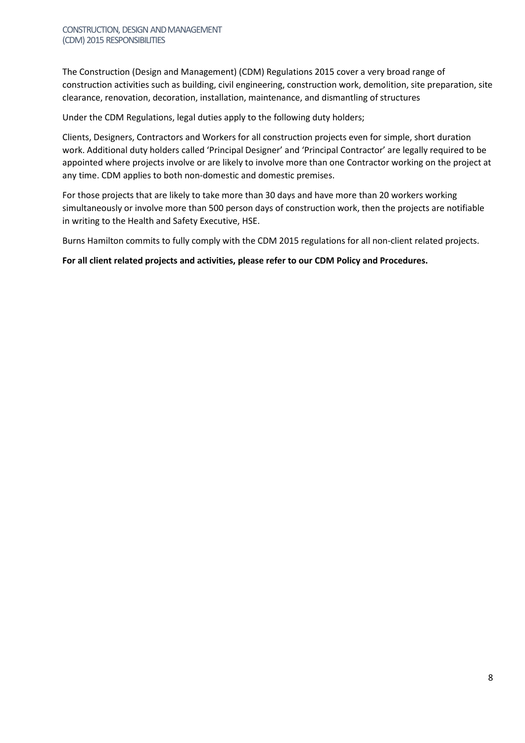The Construction (Design and Management) (CDM) Regulations 2015 cover a very broad range of construction activities such as building, civil engineering, construction work, demolition, site preparation, site clearance, renovation, decoration, installation, maintenance, and dismantling of structures

Under the CDM Regulations, legal duties apply to the following duty holders;

Clients, Designers, Contractors and Workers for all construction projects even for simple, short duration work. Additional duty holders called 'Principal Designer' and 'Principal Contractor' are legally required to be appointed where projects involve or are likely to involve more than one Contractor working on the project at any time. CDM applies to both non-domestic and domestic premises.

For those projects that are likely to take more than 30 days and have more than 20 workers working simultaneously or involve more than 500 person days of construction work, then the projects are notifiable in writing to the Health and Safety Executive, HSE.

Burns Hamilton commits to fully comply with the CDM 2015 regulations for all non-client related projects.

**For all client related projects and activities, please refer to our CDM Policy and Procedures.**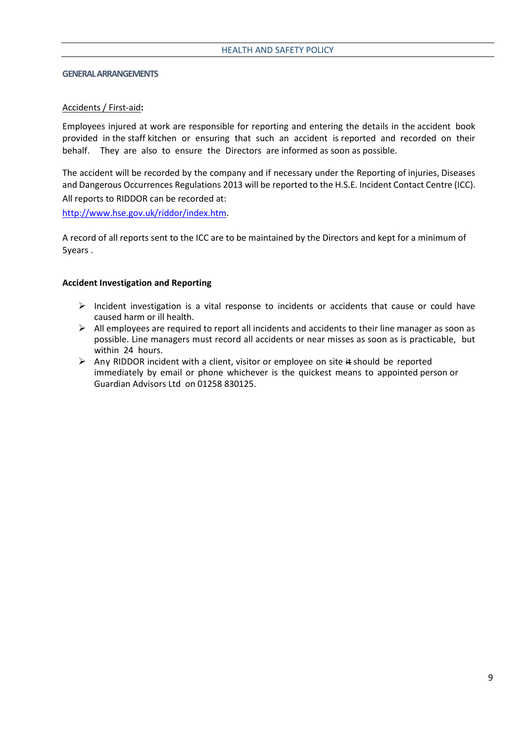#### **GENERAL ARRANGEMENTS**

#### Accidents / First-aid**:**

Employees injured at work are responsible for reporting and entering the details in the accident book provided in the staff kitchen or ensuring that such an accident is reported and recorded on their behalf. They are also to ensure the Directors are informed as soon as possible.

The accident will be recorded by the company and if necessary under the Reporting of injuries, Diseases and Dangerous Occurrences Regulations 2013 will be reported to the H.S.E. Incident Contact Centre (ICC). All reports to RIDDOR can be recorded at:

[http://www.hse.gov.uk/riddor/index.htm.](http://www.hse.gov.uk/riddor/index.htm)

A record of all reports sent to the ICC are to be maintained by the Directors and kept for a minimum of 5years .

#### **Accident Investigation and Reporting**

- ➢ Incident investigation is a vital response to incidents or accidents that cause or could have caused harm or ill health.
- $\triangleright$  All employees are required to report all incidents and accidents to their line manager as soon as possible. Line managers must record all accidents or near misses as soon as is practicable, but within 24 hours.
- ➢ Any RIDDOR incident with a client, visitor or employee on site it should be reported immediately by email or phone whichever is the quickest means to appointed person or Guardian Advisors Ltd on 01258 830125.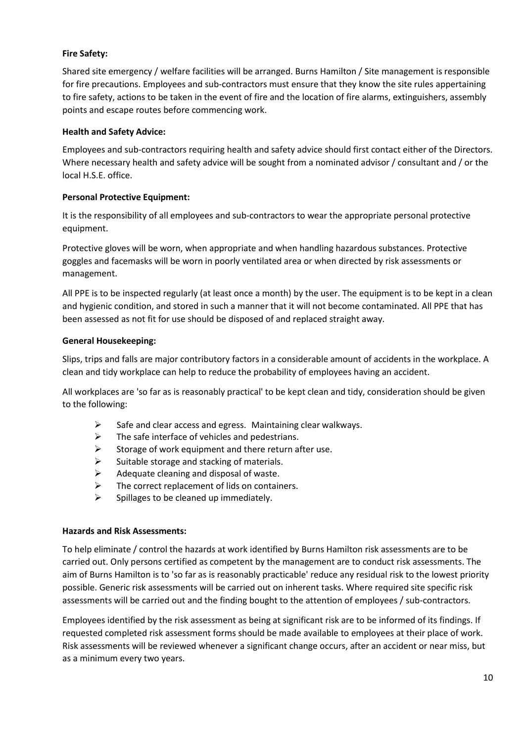# **Fire Safety:**

Shared site emergency / welfare facilities will be arranged. Burns Hamilton / Site management is responsible for fire precautions. Employees and sub-contractors must ensure that they know the site rules appertaining to fire safety, actions to be taken in the event of fire and the location of fire alarms, extinguishers, assembly points and escape routes before commencing work.

## **Health and Safety Advice:**

Employees and sub-contractors requiring health and safety advice should first contact either of the Directors. Where necessary health and safety advice will be sought from a nominated advisor / consultant and / or the local H.S.E. office.

# **Personal Protective Equipment:**

It is the responsibility of all employees and sub-contractors to wear the appropriate personal protective equipment.

Protective gloves will be worn, when appropriate and when handling hazardous substances. Protective goggles and facemasks will be worn in poorly ventilated area or when directed by risk assessments or management.

All PPE is to be inspected regularly (at least once a month) by the user. The equipment is to be kept in a clean and hygienic condition, and stored in such a manner that it will not become contaminated. All PPE that has been assessed as not fit for use should be disposed of and replaced straight away.

## **General Housekeeping:**

Slips, trips and falls are major contributory factors in a considerable amount of accidents in the workplace. A clean and tidy workplace can help to reduce the probability of employees having an accident.

All workplaces are 'so far as is reasonably practical' to be kept clean and tidy, consideration should be given to the following:

- $\triangleright$  Safe and clear access and egress. Maintaining clear walkways.
- $\triangleright$  The safe interface of vehicles and pedestrians.
- $\triangleright$  Storage of work equipment and there return after use.
- $\triangleright$  Suitable storage and stacking of materials.
- $\triangleright$  Adequate cleaning and disposal of waste.
- $\triangleright$  The correct replacement of lids on containers.
- $\triangleright$  Spillages to be cleaned up immediately.

# **Hazards and Risk Assessments:**

To help eliminate / control the hazards at work identified by Burns Hamilton risk assessments are to be carried out. Only persons certified as competent by the management are to conduct risk assessments. The aim of Burns Hamilton is to 'so far as is reasonably practicable' reduce any residual risk to the lowest priority possible. Generic risk assessments will be carried out on inherent tasks. Where required site specific risk assessments will be carried out and the finding bought to the attention of employees / sub-contractors.

Employees identified by the risk assessment as being at significant risk are to be informed of its findings. If requested completed risk assessment forms should be made available to employees at their place of work. Risk assessments will be reviewed whenever a significant change occurs, after an accident or near miss, but as a minimum every two years.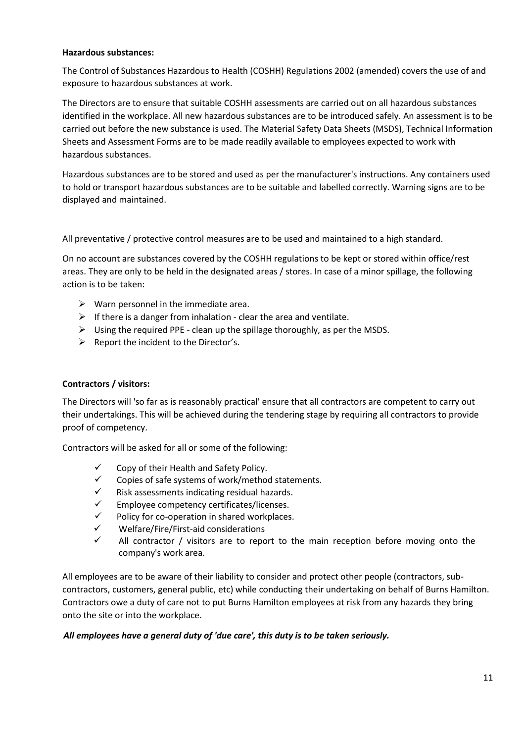#### **Hazardous substances:**

The Control of Substances Hazardous to Health (COSHH) Regulations 2002 (amended) covers the use of and exposure to hazardous substances at work.

The Directors are to ensure that suitable COSHH assessments are carried out on all hazardous substances identified in the workplace. All new hazardous substances are to be introduced safely. An assessment is to be carried out before the new substance is used. The Material Safety Data Sheets (MSDS), Technical Information Sheets and Assessment Forms are to be made readily available to employees expected to work with hazardous substances.

Hazardous substances are to be stored and used as per the manufacturer's instructions. Any containers used to hold or transport hazardous substances are to be suitable and labelled correctly. Warning signs are to be displayed and maintained.

All preventative / protective control measures are to be used and maintained to a high standard.

On no account are substances covered by the COSHH regulations to be kept or stored within office/rest areas. They are only to be held in the designated areas / stores. In case of a minor spillage, the following action is to be taken:

- $\triangleright$  Warn personnel in the immediate area.
- $\triangleright$  If there is a danger from inhalation clear the area and ventilate.
- $\triangleright$  Using the required PPE clean up the spillage thoroughly, as per the MSDS.
- ➢ Report the incident to the Director's.

# **Contractors / visitors:**

The Directors will 'so far as is reasonably practical' ensure that all contractors are competent to carry out their undertakings. This will be achieved during the tendering stage by requiring all contractors to provide proof of competency.

Contractors will be asked for all or some of the following:

- $\checkmark$  Copy of their Health and Safety Policy.
- ✓ Copies of safe systems of work/method statements.
- $\checkmark$  Risk assessments indicating residual hazards.
- ✓ Employee competency certificates/licenses.
- $\checkmark$  Policy for co-operation in shared workplaces.
- ✓ Welfare/Fire/First-aid considerations
- $\checkmark$  All contractor / visitors are to report to the main reception before moving onto the company's work area.

All employees are to be aware of their liability to consider and protect other people (contractors, subcontractors, customers, general public, etc) while conducting their undertaking on behalf of Burns Hamilton. Contractors owe a duty of care not to put Burns Hamilton employees at risk from any hazards they bring onto the site or into the workplace.

# *All employees have a general duty of 'due care', this duty is to be taken seriously.*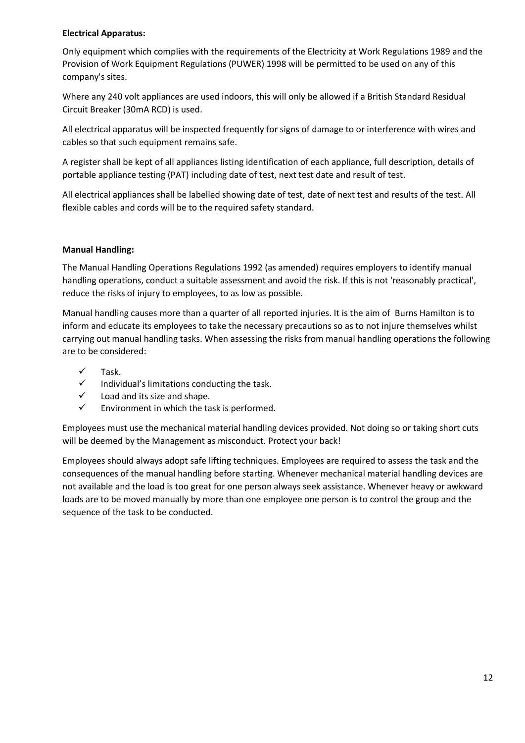# **Electrical Apparatus:**

Only equipment which complies with the requirements of the Electricity at Work Regulations 1989 and the Provision of Work Equipment Regulations (PUWER) 1998 will be permitted to be used on any of this company's sites.

Where any 240 volt appliances are used indoors, this will only be allowed if a British Standard Residual Circuit Breaker (30mA RCD) is used.

All electrical apparatus will be inspected frequently for signs of damage to or interference with wires and cables so that such equipment remains safe.

A register shall be kept of all appliances listing identification of each appliance, full description, details of portable appliance testing (PAT) including date of test, next test date and result of test.

All electrical appliances shall be labelled showing date of test, date of next test and results of the test. All flexible cables and cords will be to the required safety standard.

# **Manual Handling:**

The Manual Handling Operations Regulations 1992 (as amended) requires employers to identify manual handling operations, conduct a suitable assessment and avoid the risk. If this is not 'reasonably practical', reduce the risks of injury to employees, to as low as possible.

Manual handling causes more than a quarter of all reported injuries. It is the aim of Burns Hamilton is to inform and educate its employees to take the necessary precautions so as to not injure themselves whilst carrying out manual handling tasks. When assessing the risks from manual handling operations the following are to be considered:

- $\checkmark$  Task.
- $\checkmark$  Individual's limitations conducting the task.
- $\checkmark$  Load and its size and shape.
- $\checkmark$  Environment in which the task is performed.

Employees must use the mechanical material handling devices provided. Not doing so or taking short cuts will be deemed by the Management as misconduct. Protect your back!

Employees should always adopt safe lifting techniques. Employees are required to assess the task and the consequences of the manual handling before starting. Whenever mechanical material handling devices are not available and the load is too great for one person always seek assistance. Whenever heavy or awkward loads are to be moved manually by more than one employee one person is to control the group and the sequence of the task to be conducted.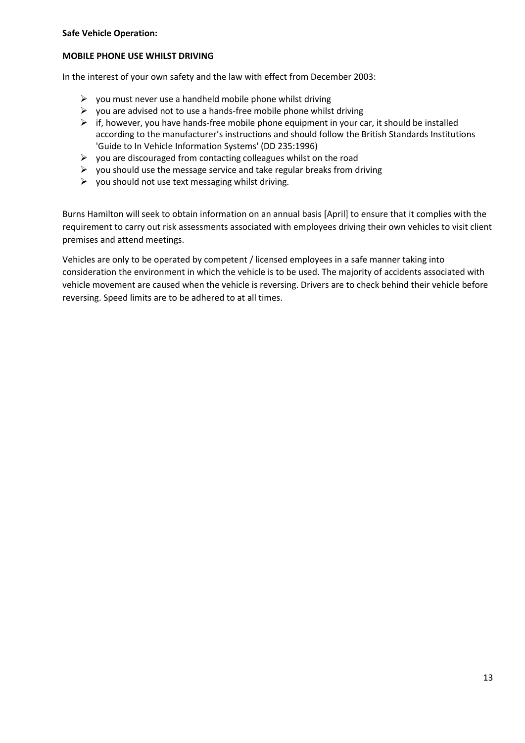#### **Safe Vehicle Operation:**

## **MOBILE PHONE USE WHILST DRIVING**

In the interest of your own safety and the law with effect from December 2003:

- $\triangleright$  you must never use a handheld mobile phone whilst driving
- $\triangleright$  you are advised not to use a hands-free mobile phone whilst driving
- $\triangleright$  if, however, you have hands-free mobile phone equipment in your car, it should be installed according to the manufacturer's instructions and should follow the British Standards Institutions 'Guide to In Vehicle Information Systems' (DD 235:1996)
- $\triangleright$  you are discouraged from contacting colleagues whilst on the road
- $\triangleright$  you should use the message service and take regular breaks from driving
- $\triangleright$  you should not use text messaging whilst driving.

Burns Hamilton will seek to obtain information on an annual basis [April] to ensure that it complies with the requirement to carry out risk assessments associated with employees driving their own vehicles to visit client premises and attend meetings.

Vehicles are only to be operated by competent / licensed employees in a safe manner taking into consideration the environment in which the vehicle is to be used. The majority of accidents associated with vehicle movement are caused when the vehicle is reversing. Drivers are to check behind their vehicle before reversing. Speed limits are to be adhered to at all times.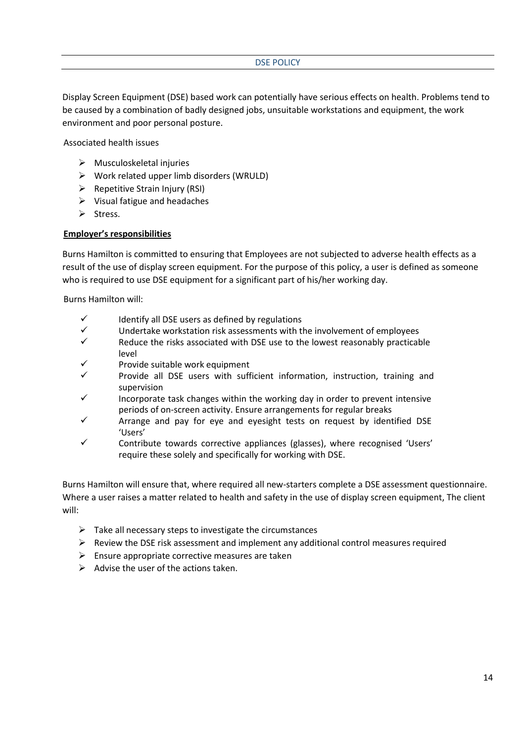## DSE POLICY

Display Screen Equipment (DSE) based work can potentially have serious effects on health. Problems tend to be caused by a combination of badly designed jobs, unsuitable workstations and equipment, the work environment and poor personal posture.

Associated health issues

- $\triangleright$  Musculoskeletal injuries
- $\triangleright$  Work related upper limb disorders (WRULD)
- $\triangleright$  Repetitive Strain Injury (RSI)
- $\triangleright$  Visual fatigue and headaches
- ➢ Stress.

## **Employer's responsibilities**

Burns Hamilton is committed to ensuring that Employees are not subjected to adverse health effects as a result of the use of display screen equipment. For the purpose of this policy, a user is defined as someone who is required to use DSE equipment for a significant part of his/her working day.

Burns Hamilton will:

- $\checkmark$  Identify all DSE users as defined by regulations
- ✓ Undertake workstation risk assessments with the involvement of employees
- $\checkmark$  Reduce the risks associated with DSE use to the lowest reasonably practicable level
- Provide suitable work equipment
- Provide all DSE users with sufficient information, instruction, training and supervision
- Incorporate task changes within the working day in order to prevent intensive periods of on-screen activity. Ensure arrangements for regular breaks
- Arrange and pay for eye and eyesight tests on request by identified DSE 'Users'
- ✓ Contribute towards corrective appliances (glasses), where recognised 'Users' require these solely and specifically for working with DSE.

Burns Hamilton will ensure that, where required all new-starters complete a DSE assessment questionnaire. Where a user raises a matter related to health and safety in the use of display screen equipment, The client will:

- $\triangleright$  Take all necessary steps to investigate the circumstances
- $\triangleright$  Review the DSE risk assessment and implement any additional control measures required
- $\triangleright$  Ensure appropriate corrective measures are taken
- $\triangleright$  Advise the user of the actions taken.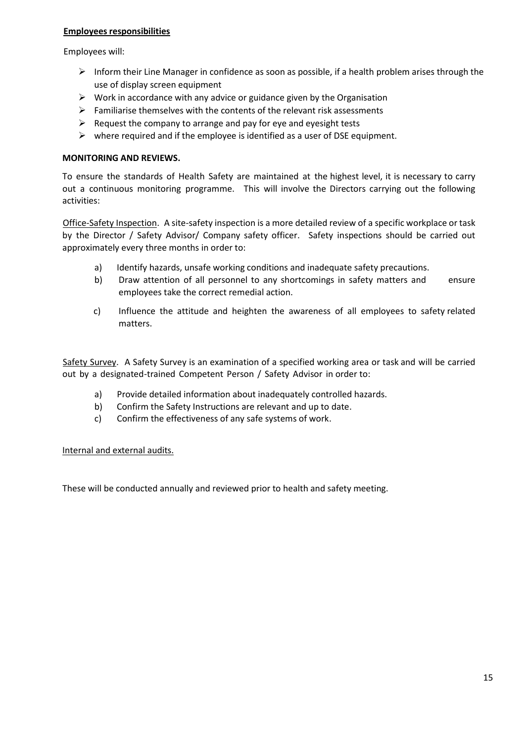# **Employees responsibilities**

Employees will:

- $\triangleright$  Inform their Line Manager in confidence as soon as possible, if a health problem arises through the use of display screen equipment
- $\triangleright$  Work in accordance with any advice or guidance given by the Organisation
- $\triangleright$  Familiarise themselves with the contents of the relevant risk assessments
- $\triangleright$  Request the company to arrange and pay for eye and eyesight tests
- $\triangleright$  where required and if the employee is identified as a user of DSE equipment.

# **MONITORING AND REVIEWS.**

To ensure the standards of Health Safety are maintained at the highest level, it is necessary to carry out a continuous monitoring programme. This will involve the Directors carrying out the following activities:

Office-Safety Inspection. A site-safety inspection is a more detailed review of a specific workplace or task by the Director / Safety Advisor/ Company safety officer. Safety inspections should be carried out approximately every three months in order to:

- a) Identify hazards, unsafe working conditions and inadequate safety precautions.
- b) Draw attention of all personnel to any shortcomings in safety matters and ensure employees take the correct remedial action.
- c) Influence the attitude and heighten the awareness of all employees to safety related matters.

Safety Survey. A Safety Survey is an examination of a specified working area or task and will be carried out by a designated-trained Competent Person / Safety Advisor in order to:

- a) Provide detailed information about inadequately controlled hazards.
- b) Confirm the Safety Instructions are relevant and up to date.
- c) Confirm the effectiveness of any safe systems of work.

# Internal and external audits.

These will be conducted annually and reviewed prior to health and safety meeting.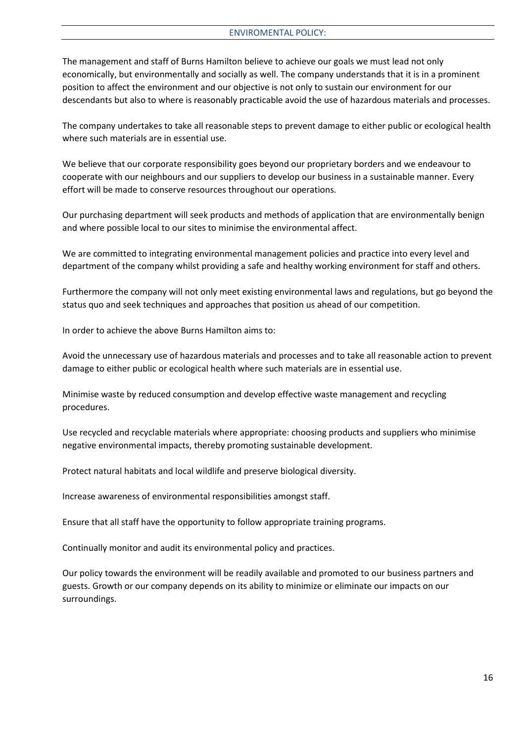The management and staff of Burns Hamilton believe to achieve our goals we must lead not only economically, but environmentally and socially as well. The company understands that it is in a prominent position to affect the environment and our objective is not only to sustain our environment for our descendants but also to where is reasonably practicable avoid the use of hazardous materials and processes.

The company undertakes to take all reasonable steps to prevent damage to either public or ecological health where such materials are in essential use.

We believe that our corporate responsibility goes beyond our proprietary borders and we endeavour to cooperate with our neighbours and our suppliers to develop our business in a sustainable manner. Every effort will be made to conserve resources throughout our operations.

Our purchasing department will seek products and methods of application that are environmentally benign and where possible local to our sites to minimise the environmental affect.

We are committed to integrating environmental management policies and practice into every level and department of the company whilst providing a safe and healthy working environment for staff and others.

Furthermore the company will not only meet existing environmental laws and regulations, but go beyond the status quo and seek techniques and approaches that position us ahead of our competition.

In order to achieve the above Burns Hamilton aims to:

Avoid the unnecessary use of hazardous materials and processes and to take all reasonable action to prevent damage to either public or ecological health where such materials are in essential use.

Minimise waste by reduced consumption and develop effective waste management and recycling procedures.

Use recycled and recyclable materials where appropriate: choosing products and suppliers who minimise negative environmental impacts, thereby promoting sustainable development.

Protect natural habitats and local wildlife and preserve biological diversity.

Increase awareness of environmental responsibilities amongst staff.

Ensure that all staff have the opportunity to follow appropriate training programs.

Continually monitor and audit its environmental policy and practices.

Our policy towards the environment will be readily available and promoted to our business partners and guests. Growth or our company depends on its ability to minimize or eliminate our impacts on our surroundings.